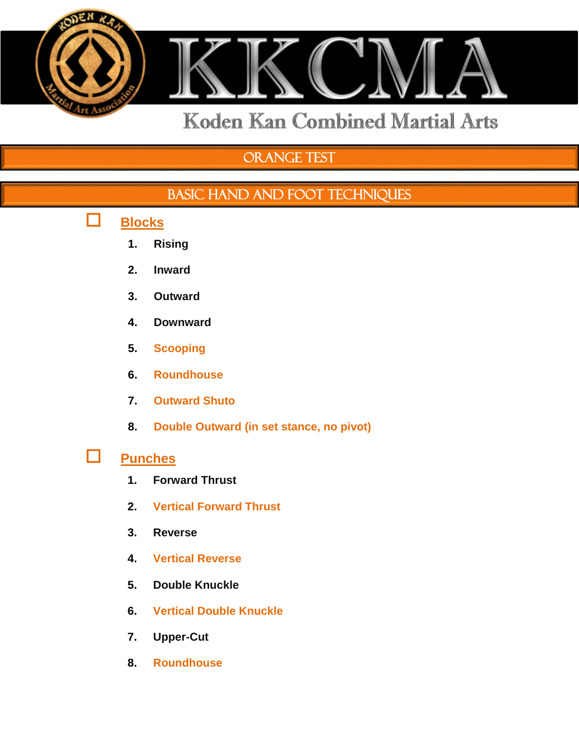

# Orange Test

## BASIC HAND AND FOOT TECHNIQUES

- **Blocks**
	- **1. Rising**
	- **2. Inward**
	- **3. Outward**
	- **4. Downward**
	- **5. Scooping**
	- **6. Roundhouse**
	- **7. Outward Shuto**
	- **8. Double Outward (in set stance, no pivot)**

## **Punches**

- **1. Forward Thrust**
- **2. Vertical Forward Thrust**
- **3. Reverse**
- **4. Vertical Reverse**
- **5. Double Knuckle**
- **6. Vertical Double Knuckle**
- **7. Upper-Cut**
- **8. Roundhouse**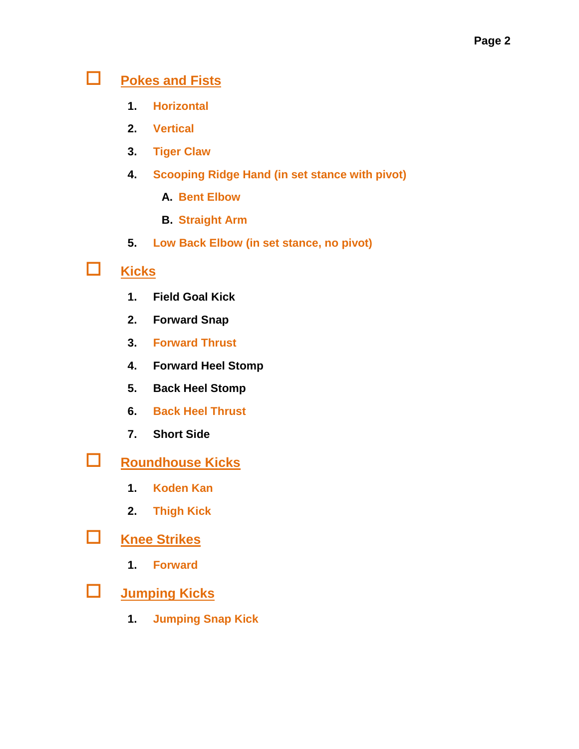## **Pokes and Fists**

- **1. Horizontal**
- **2. Vertical**
- **3. Tiger Claw**
- **4. Scooping Ridge Hand (in set stance with pivot)**
	- **A. Bent Elbow**
	- **B. Straight Arm**
- **5. Low Back Elbow (in set stance, no pivot)**

## **Kicks**

- **1. Field Goal Kick**
- **2. Forward Snap**
- **3. Forward Thrust**
- **4. Forward Heel Stomp**
- **5. Back Heel Stomp**
- **6. Back Heel Thrust**
- **7. Short Side**
- **Roundhouse Kicks**
	- **1. Koden Kan**
	- **2. Thigh Kick**
- **Knee Strikes**
	- **1. Forward**
- **Jumping Kicks**
	- **1. Jumping Snap Kick**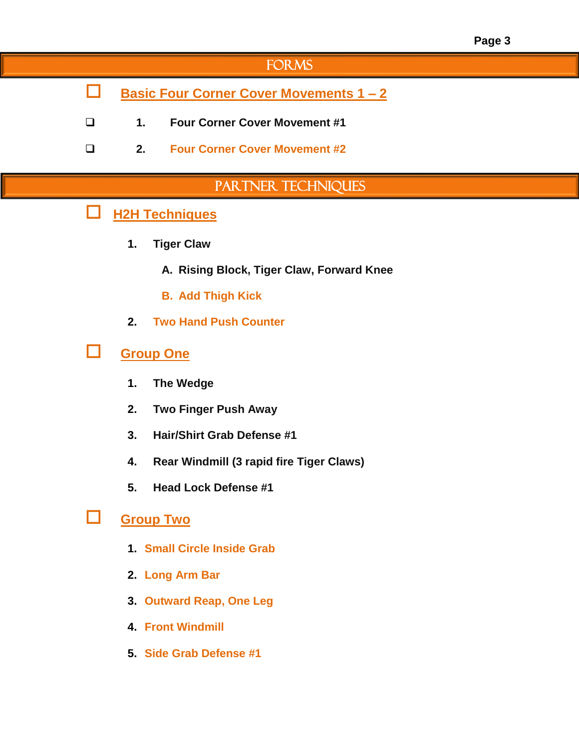## **FORMS**

- **Basic Four Corner Cover Movements 1 – 2**
- **1. Four Corner Cover Movement #1**
- **2. Four Corner Cover Movement #2**

### PARTNER TECHNIQUES

### **H2H Techniques**

- **1. Tiger Claw**
	- **A. Rising Block, Tiger Claw, Forward Knee**
	- **B. Add Thigh Kick**
- **2. Two Hand Push Counter**

### **Group One**

- **1. The Wedge**
- **2. Two Finger Push Away**
- **3. Hair/Shirt Grab Defense #1**
- **4. Rear Windmill (3 rapid fire Tiger Claws)**
- **5. Head Lock Defense #1**

#### **Group Two**

- **1. Small Circle Inside Grab**
- **2. Long Arm Bar**
- **3. Outward Reap, One Leg**
- **4. Front Windmill**
- **5. Side Grab Defense #1**